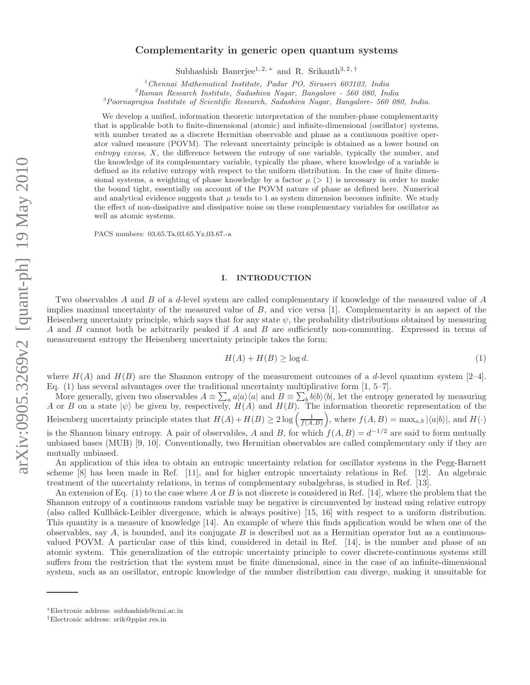# arXiv:0905.3269v2 [quant-ph] 19 May 2010 arXiv:0905.3269v2 [quant-ph] 19 May 2010

# Complementarity in generic open quantum systems

Subhashish Banerjee<sup>1, 2, \*</sup> and R. Srikanth<sup>3, 2, †</sup>

 $1$ Chennai Mathematical Institute, Padur PO, Siruseri 603103, India

 ${}^{2}$ Raman Research Institute, Sadashiva Nagar, Bangalore - 560 080, India

 $3P$ oornaprajna Institute of Scientific Research, Sadashiva Nagar, Bangalore- 560 080, India.

We develop a unified, information theoretic interpretation of the number-phase complementarity that is applicable both to finite-dimensional (atomic) and infinite-dimensional (oscillator) systems, with number treated as a discrete Hermitian observable and phase as a continuous positive operator valued measure (POVM). The relevant uncertainty principle is obtained as a lower bound on entropy excess, X, the difference between the entropy of one variable, typically the number, and the knowledge of its complementary variable, typically the phase, where knowledge of a variable is defined as its relative entropy with respect to the uniform distribution. In the case of finite dimensional systems, a weighting of phase knowledge by a factor  $\mu$  ( $> 1$ ) is necessary in order to make the bound tight, essentially on account of the POVM nature of phase as defined here. Numerical and analytical evidence suggests that  $\mu$  tends to 1 as system dimension becomes infinite. We study the effect of non-dissipative and dissipative noise on these complementary variables for oscillator as well as atomic systems.

PACS numbers: 03.65.Ta,03.65.Yz,03.67.-a

# I. INTRODUCTION

Two observables A and B of a d-level system are called complementary if knowledge of the measured value of A implies maximal uncertainty of the measured value of  $B$ , and vice versa [1]. Complementarity is an aspect of the Heisenberg uncertainty principle, which says that for any state  $\psi$ , the probability distributions obtained by measuring A and B cannot both be arbitrarily peaked if A and B are sufficiently non-commuting. Expressed in terms of measurement entropy the Heisenberg uncertainty principle takes the form:

$$
H(A) + H(B) \ge \log d. \tag{1}
$$

where  $H(A)$  and  $H(B)$  are the Shannon entropy of the measurement outcomes of a d-level quantum system [2–4]. Eq. (1) has several advantages over the traditional uncertainty multiplicative form [1, 5–7].

More generally, given two observables  $A = \sum_a a|a\rangle\langle a|$  and  $B = \sum_b b|b\rangle\langle b|$ , let the entropy generated by measuring A or B on a state  $|\psi\rangle$  be given by, respectively,  $H(A)$  and  $H(B)$ . The information theoretic representation of the Heisenberg uncertainty principle states that  $H(A) + H(B) \geq 2 \log \left( \frac{1}{f(A,B)} \right)$ , where  $f(A,B) = \max_{a,b} |\langle a|b \rangle|$ , and  $H(\cdot)$ is the Shannon binary entropy. A pair of observables, A and B, for which  $f(A, B) = d^{-1/2}$  are said to form mutually unbiased bases (MUB) [9, 10]. Conventionally, two Hermitian observables are called complementary only if they are mutually unbiased.

An application of this idea to obtain an entropic uncertainty relation for oscillator systems in the Pegg-Barnett scheme [8] has been made in Ref. [11], and for higher entropic uncertainty relations in Ref. [12]. An algebraic treatment of the uncertainty relations, in terms of complementary subalgebras, is studied in Ref. [13].

An extension of Eq. (1) to the case where A or B is not discrete is considered in Ref. [14], where the problem that the Shannon entropy of a continuous random variable may be negative is circumvented by instead using relative entropy (also called Kullbäck-Leibler divergence, which is always positive) [15, 16] with respect to a uniform distribution. This quantity is a measure of knowledge [14]. An example of where this finds application would be when one of the observables, say  $A$ , is bounded, and its conjugate  $B$  is described not as a Hermitian operator but as a continuousvalued POVM. A particular case of this kind, considered in detail in Ref. [14], is the number and phase of an atomic system. This generalization of the entropic uncertainty principle to cover discrete-continuous systems still suffers from the restriction that the system must be finite dimensional, since in the case of an infinite-dimensional system, such as an oscillator, entropic knowledge of the number distribution can diverge, making it unsuitable for

<sup>∗</sup>Electronic address: subhashish@cmi.ac.in

<sup>†</sup>Electronic address: srik@ppisr.res.in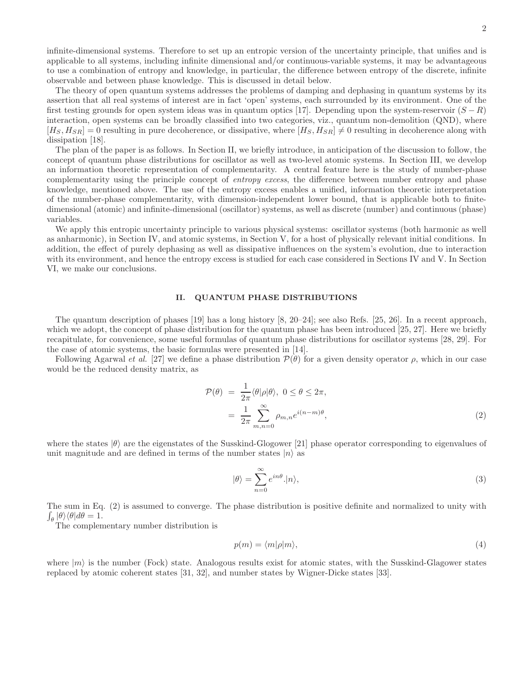infinite-dimensional systems. Therefore to set up an entropic version of the uncertainty principle, that unifies and is applicable to all systems, including infinite dimensional and/or continuous-variable systems, it may be advantageous to use a combination of entropy and knowledge, in particular, the difference between entropy of the discrete, infinite observable and between phase knowledge. This is discussed in detail below.

The theory of open quantum systems addresses the problems of damping and dephasing in quantum systems by its assertion that all real systems of interest are in fact 'open' systems, each surrounded by its environment. One of the first testing grounds for open system ideas was in quantum optics [17]. Depending upon the system-reservoir  $(S - R)$ interaction, open systems can be broadly classified into two categories, viz., quantum non-demolition (QND), where  $[H<sub>S</sub>, H<sub>SR</sub>] = 0$  resulting in pure decoherence, or dissipative, where  $[H<sub>S</sub>, H<sub>SR</sub>] \neq 0$  resulting in decoherence along with dissipation [18].

The plan of the paper is as follows. In Section II, we briefly introduce, in anticipation of the discussion to follow, the concept of quantum phase distributions for oscillator as well as two-level atomic systems. In Section III, we develop an information theoretic representation of complementarity. A central feature here is the study of number-phase complementarity using the principle concept of entropy excess, the difference between number entropy and phase knowledge, mentioned above. The use of the entropy excess enables a unified, information theoretic interpretation of the number-phase complementarity, with dimension-independent lower bound, that is applicable both to finitedimensional (atomic) and infinite-dimensional (oscillator) systems, as well as discrete (number) and continuous (phase) variables.

We apply this entropic uncertainty principle to various physical systems: oscillator systems (both harmonic as well as anharmonic), in Section IV, and atomic systems, in Section V, for a host of physically relevant initial conditions. In addition, the effect of purely dephasing as well as dissipative influences on the system's evolution, due to interaction with its environment, and hence the entropy excess is studied for each case considered in Sections IV and V. In Section VI, we make our conclusions.

### II. QUANTUM PHASE DISTRIBUTIONS

The quantum description of phases [19] has a long history [8, 20–24]; see also Refs. [25, 26]. In a recent approach, which we adopt, the concept of phase distribution for the quantum phase has been introduced [25, 27]. Here we briefly recapitulate, for convenience, some useful formulas of quantum phase distributions for oscillator systems [28, 29]. For the case of atomic systems, the basic formulas were presented in [14].

Following Agarwal et al. [27] we define a phase distribution  $\mathcal{P}(\theta)$  for a given density operator  $\rho$ , which in our case would be the reduced density matrix, as

$$
\mathcal{P}(\theta) = \frac{1}{2\pi} \langle \theta | \rho | \theta \rangle, \ 0 \le \theta \le 2\pi,
$$
  
= 
$$
\frac{1}{2\pi} \sum_{m,n=0}^{\infty} \rho_{m,n} e^{i(n-m)\theta}, \tag{2}
$$

where the states  $|\theta\rangle$  are the eigenstates of the Susskind-Glogower [21] phase operator corresponding to eigenvalues of unit magnitude and are defined in terms of the number states  $|n\rangle$  as

$$
|\theta\rangle = \sum_{n=0}^{\infty} e^{in\theta} . |n\rangle,
$$
 (3)

The sum in Eq. (2) is assumed to converge. The phase distribution is positive definite and normalized to unity with  $\int_{\theta} |\theta\rangle\langle\theta|d\theta = 1.$ 

The complementary number distribution is

$$
p(m) = \langle m|\rho|m\rangle,\tag{4}
$$

where  $|m\rangle$  is the number (Fock) state. Analogous results exist for atomic states, with the Susskind-Glagower states replaced by atomic coherent states [31, 32], and number states by Wigner-Dicke states [33].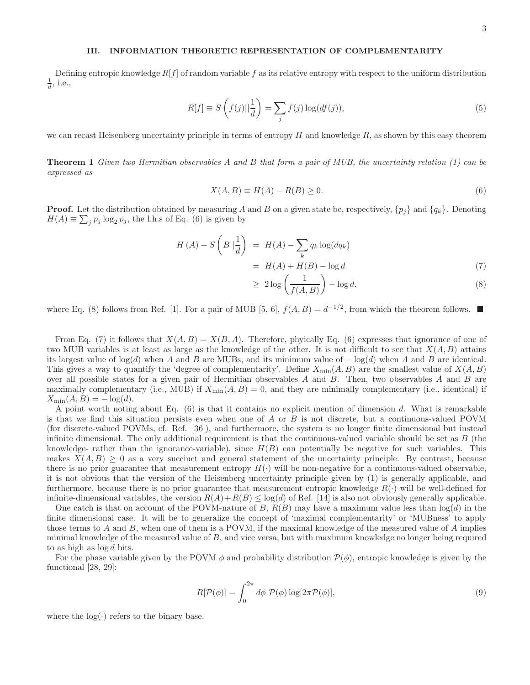# III. INFORMATION THEORETIC REPRESENTATION OF COMPLEMENTARITY

Defining entropic knowledge  $R[f]$  of random variable f as its relative entropy with respect to the uniform distribution  $\frac{1}{d}$ , i.e.,

$$
R[f] \equiv S\left(f(j)|\frac{1}{d}\right) = \sum_{j} f(j) \log(df(j)),\tag{5}
$$

we can recast Heisenberg uncertainty principle in terms of entropy  $H$  and knowledge  $R$ , as shown by this easy theorem

Theorem 1 Given two Hermitian observables A and B that form a pair of MUB, the uncertainty relation (1) can be expressed as

$$
X(A,B) \equiv H(A) - R(B) \ge 0. \tag{6}
$$

**Proof.** Let the distribution obtained by measuring A and B on a given state be, respectively,  $\{p_i\}$  and  $\{q_k\}$ . Denoting  $H(A) \equiv \sum_j p_j \log_2 p_j$ , the l.h.s of Eq. (6) is given by

$$
H(A) - S\left(B||\frac{1}{d}\right) = H(A) - \sum_{k} q_k \log(dq_k)
$$

$$
= H(A) + H(B) - \log d \tag{7}
$$

$$
\geq 2\log\left(\frac{1}{f(A,B)}\right) - \log d. \tag{8}
$$

where Eq. (8) follows from Ref. [1]. For a pair of MUB [5, 6],  $f(A, B) = d^{-1/2}$ , from which the theorem follows.

From Eq. (7) it follows that  $X(A, B) = X(B, A)$ . Therefore, phyically Eq. (6) expresses that ignorance of one of two MUB variables is at least as large as the knowledge of the other. It is not difficult to see that  $X(A, B)$  attains its largest value of  $log(d)$  when A and B are MUBs, and its minimum value of  $log(d)$  when A and B are identical. This gives a way to quantify the 'degree of complementarity'. Define  $X_{\min}(A, B)$  are the smallest value of  $X(A, B)$ over all possible states for a given pair of Hermitian observables A and B. Then, two observables A and B are maximally complementary (i.e., MUB) if  $X_{\min}(A, B) = 0$ , and they are minimally complementary (i.e., identical) if  $X_{\min}(A, B) = -\log(d).$ 

A point worth noting about Eq. (6) is that it contains no explicit mention of dimension d. What is remarkable is that we find this situation persists even when one of A or B is not discrete, but a continuous-valued POVM (for discrete-valued POVMs, cf. Ref. [36]), and furthermore, the system is no longer finite dimensional but instead infinite dimensional. The only additional requirement is that the continuous-valued variable should be set as  $B$  (the knowledge- rather than the ignorance-variable), since  $H(B)$  can potentially be negative for such variables. This makes  $X(A, B) \geq 0$  as a very succinct and general statement of the uncertainty principle. By contrast, because there is no prior guarantee that measurement entropy  $H(\cdot)$  will be non-negative for a continuous-valued observable, it is not obvious that the version of the Heisenberg uncertainty principle given by (1) is generally applicable, and furthermore, because there is no prior guarantee that measurement entropic knowledge  $R(\cdot)$  will be well-defined for infinite-dimensional variables, the version  $R(A) + R(B) \leq \log(d)$  of Ref. [14] is also not obviously generally applicable.

One catch is that on account of the POVM-nature of B,  $R(B)$  may have a maximum value less than  $log(d)$  in the finite dimensional case. It will be to generalize the concept of 'maximal complementarity' or 'MUBness' to apply those terms to  $A$  and  $B$ , when one of them is a POVM, if the maximal knowledge of the measured value of  $A$  implies minimal knowledge of the measured value of B, and vice versa, but with maximum knowledge no longer being required to as high as log d bits.

For the phase variable given by the POVM  $\phi$  and probability distribution  $\mathcal{P}(\phi)$ , entropic knowledge is given by the functional [28, 29]:

$$
R[\mathcal{P}(\phi)] = \int_0^{2\pi} d\phi \ \mathcal{P}(\phi) \log[2\pi \mathcal{P}(\phi)],\tag{9}
$$

where the  $log(·)$  refers to the binary base.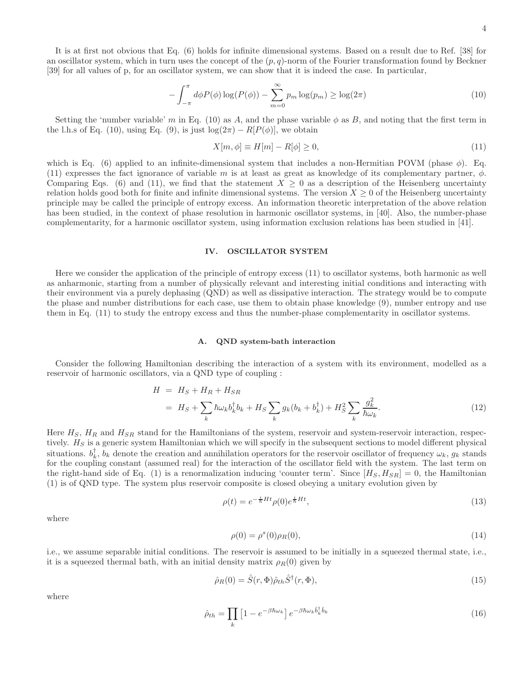It is at first not obvious that Eq. (6) holds for infinite dimensional systems. Based on a result due to Ref. [38] for an oscillator system, which in turn uses the concept of the  $(p, q)$ -norm of the Fourier transformation found by Beckner [39] for all values of p, for an oscillator system, we can show that it is indeed the case. In particular,

$$
-\int_{-\pi}^{\pi} d\phi P(\phi) \log(P(\phi)) - \sum_{m=0}^{\infty} p_m \log(p_m) \ge \log(2\pi)
$$
\n(10)

Setting the 'number variable' m in Eq. (10) as A, and the phase variable  $\phi$  as B, and noting that the first term in the l.h.s of Eq. (10), using Eq. (9), is just  $\log(2\pi) - R[P(\phi)]$ , we obtain

$$
X[m,\phi] \equiv H[m] - R[\phi] \ge 0,\tag{11}
$$

which is Eq. (6) applied to an infinite-dimensional system that includes a non-Hermitian POVM (phase  $\phi$ ). Eq. (11) expresses the fact ignorance of variable m is at least as great as knowledge of its complementary partner,  $\phi$ . Comparing Eqs. (6) and (11), we find that the statement  $X \geq 0$  as a description of the Heisenberg uncertainty relation holds good both for finite and infinite dimensional systems. The version  $X \geq 0$  of the Heisenberg uncertainty principle may be called the principle of entropy excess. An information theoretic interpretation of the above relation has been studied, in the context of phase resolution in harmonic oscillator systems, in [40]. Also, the number-phase complementarity, for a harmonic oscillator system, using information exclusion relations has been studied in [41].

# IV. OSCILLATOR SYSTEM

Here we consider the application of the principle of entropy excess (11) to oscillator systems, both harmonic as well as anharmonic, starting from a number of physically relevant and interesting initial conditions and interacting with their environment via a purely dephasing (QND) as well as dissipative interaction. The strategy would be to compute the phase and number distributions for each case, use them to obtain phase knowledge (9), number entropy and use them in Eq. (11) to study the entropy excess and thus the number-phase complementarity in oscillator systems.

### A. QND system-bath interaction

Consider the following Hamiltonian describing the interaction of a system with its environment, modelled as a reservoir of harmonic oscillators, via a QND type of coupling :

$$
H = HS + HR + HSR
$$
  
=  $HS + \sum_{k} \hbar \omega_{k} b_{k}^{\dagger} b_{k} + HS \sum_{k} g_{k} (b_{k} + b_{k}^{\dagger}) + HS2 \sum_{k} \frac{g_{k}^{2}}{\hbar \omega_{k}}.$  (12)

Here  $H_S$ ,  $H_R$  and  $H_{SR}$  stand for the Hamiltonians of the system, reservoir and system-reservoir interaction, respectively.  $H<sub>S</sub>$  is a generic system Hamiltonian which we will specify in the subsequent sections to model different physical situations.  $b_k^{\dagger}$ ,  $b_k$  denote the creation and annihilation operators for the reservoir oscillator of frequency  $\omega_k$ ,  $g_k$  stands for the coupling constant (assumed real) for the interaction of the oscillator field with the system. The last term on the right-hand side of Eq. (1) is a renormalization inducing 'counter term'. Since  $[H_S, H_{SR}] = 0$ , the Hamiltonian (1) is of QND type. The system plus reservoir composite is closed obeying a unitary evolution given by

$$
\rho(t) = e^{-\frac{i}{\hbar}Ht} \rho(0) e^{\frac{i}{\hbar}Ht},\tag{13}
$$

where

$$
\rho(0) = \rho^s(0)\rho_R(0),
$$
\n(14)

i.e., we assume separable initial conditions. The reservoir is assumed to be initially in a squeezed thermal state, i.e., it is a squeezed thermal bath, with an initial density matrix  $\rho_R(0)$  given by

$$
\hat{\rho}_R(0) = \hat{S}(r, \Phi)\hat{\rho}_{th}\hat{S}^{\dagger}(r, \Phi),\tag{15}
$$

where

$$
\hat{\rho}_{th} = \prod_{k} \left[ 1 - e^{-\beta \hbar \omega_k} \right] e^{-\beta \hbar \omega_k \hat{b}_k^{\dagger} \hat{b}_k} \tag{16}
$$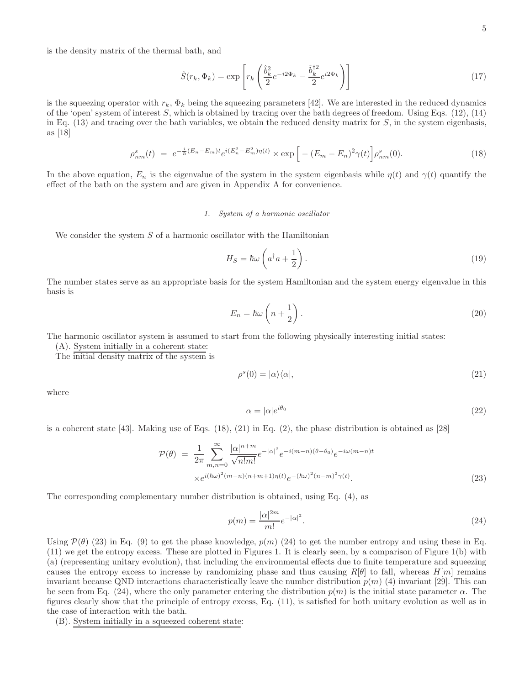is the density matrix of the thermal bath, and

$$
\hat{S}(r_k, \Phi_k) = \exp\left[r_k \left(\frac{\hat{b}_k^2}{2} e^{-i2\Phi_k} - \frac{\hat{b}_k^{\dagger 2}}{2} e^{i2\Phi_k}\right)\right]
$$
\n(17)

is the squeezing operator with  $r_k$ ,  $\Phi_k$  being the squeezing parameters [42]. We are interested in the reduced dynamics of the 'open' system of interest S, which is obtained by tracing over the bath degrees of freedom. Using Eqs.  $(12)$ ,  $(14)$ in Eq.  $(13)$  and tracing over the bath variables, we obtain the reduced density matrix for S, in the system eigenbasis, as [18]

$$
\rho_{nm}^s(t) = e^{-\frac{i}{\hbar}(E_n - E_m)t} e^{i(E_n^2 - E_m^2)\eta(t)} \times \exp\left[ -(E_m - E_n)^2 \gamma(t) \right] \rho_{nm}^s(0). \tag{18}
$$

In the above equation,  $E_n$  is the eigenvalue of the system in the system eigenbasis while  $\eta(t)$  and  $\gamma(t)$  quantify the effect of the bath on the system and are given in Appendix A for convenience.

# 1. System of a harmonic oscillator

We consider the system  $S$  of a harmonic oscillator with the Hamiltonian

$$
H_S = \hbar\omega \left( a^\dagger a + \frac{1}{2} \right). \tag{19}
$$

The number states serve as an appropriate basis for the system Hamiltonian and the system energy eigenvalue in this basis is

$$
E_n = \hbar \omega \left( n + \frac{1}{2} \right). \tag{20}
$$

The harmonic oscillator system is assumed to start from the following physically interesting initial states:

(A). System initially in a coherent state:

The initial density matrix of the system is

$$
\rho^s(0) = |\alpha\rangle\langle\alpha|,\tag{21}
$$

where

$$
\alpha = |\alpha|e^{i\theta_0} \tag{22}
$$

is a coherent state [43]. Making use of Eqs. (18), (21) in Eq. (2), the phase distribution is obtained as [28]

$$
\mathcal{P}(\theta) = \frac{1}{2\pi} \sum_{m,n=0}^{\infty} \frac{|\alpha|^{n+m}}{\sqrt{n!m!}} e^{-|\alpha|^2} e^{-i(m-n)(\theta - \theta_0)} e^{-i\omega(m-n)t} \times e^{i(\hbar\omega)^2(m-n)(n+m+1)\eta(t)} e^{-(\hbar\omega)^2(n-m)^2 \gamma(t)}.
$$
\n(23)

The corresponding complementary number distribution is obtained, using Eq. (4), as

$$
p(m) = \frac{|\alpha|^{2m}}{m!} e^{-|\alpha|^2}.
$$
 (24)

Using  $\mathcal{P}(\theta)$  (23) in Eq. (9) to get the phase knowledge,  $p(m)$  (24) to get the number entropy and using these in Eq. (11) we get the entropy excess. These are plotted in Figures 1. It is clearly seen, by a comparison of Figure 1(b) with (a) (representing unitary evolution), that including the environmental effects due to finite temperature and squeezing causes the entropy excess to increase by randomizing phase and thus causing  $R[\theta]$  to fall, whereas  $H[m]$  remains invariant because QND interactions characteristically leave the number distribution  $p(m)$  (4) invariant [29]. This can be seen from Eq. (24), where the only parameter entering the distribution  $p(m)$  is the initial state parameter  $\alpha$ . The figures clearly show that the principle of entropy excess, Eq. (11), is satisfied for both unitary evolution as well as in the case of interaction with the bath.

(B). System initially in a squeezed coherent state: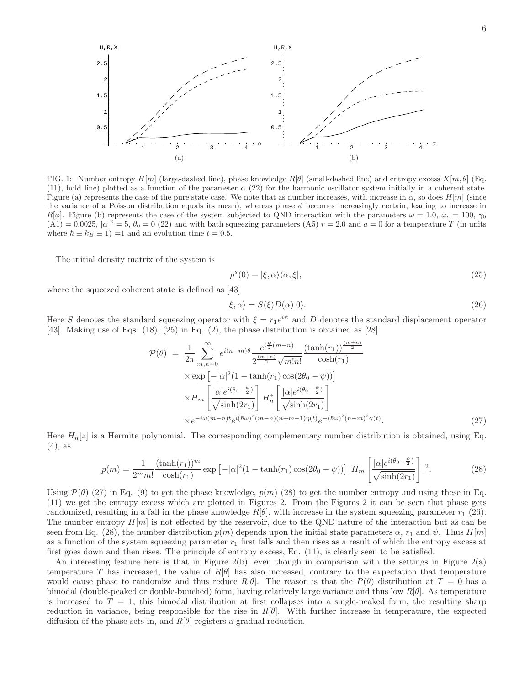

FIG. 1: Number entropy  $H[m]$  (large-dashed line), phase knowledge  $R[\theta]$  (small-dashed line) and entropy excess  $X[m,\theta]$  (Eq. (11), bold line) plotted as a function of the parameter  $\alpha$  (22) for the harmonic oscillator system initially in a coherent state. Figure (a) represents the case of the pure state case. We note that as number increases, with increase in  $\alpha$ , so does  $H[m]$  (since the variance of a Poisson distribution equals its mean), whereas phase  $\phi$  becomes increasingly certain, leading to increase in  $R[\phi]$ . Figure (b) represents the case of the system subjected to QND interaction with the parameters  $\omega = 1.0$ ,  $\omega_c = 100$ ,  $\gamma_0$  $(A1) = 0.0025$ ,  $|\alpha|^2 = 5$ ,  $\theta_0 = 0$  (22) and with bath squeezing parameters (A5)  $r = 2.0$  and  $a = 0$  for a temperature T (in units where  $\hbar \equiv k_B \equiv 1$ ) =1 and an evolution time  $t = 0.5$ .

The initial density matrix of the system is

$$
\rho^s(0) = |\xi, \alpha\rangle\langle\alpha, \xi|,\tag{25}
$$

where the squeezed coherent state is defined as [43]

$$
|\xi,\alpha\rangle = S(\xi)D(\alpha)|0\rangle.
$$
\n(26)

Here S denotes the standard squeezing operator with  $\xi = r_1 e^{i\psi}$  and D denotes the standard displacement operator [43]. Making use of Eqs. (18), (25) in Eq. (2), the phase distribution is obtained as [28]

$$
\mathcal{P}(\theta) = \frac{1}{2\pi} \sum_{m,n=0}^{\infty} e^{i(n-m)\theta} \frac{e^{i\frac{\psi}{2}(m-n)}}{2^{\frac{(m+n)}{2}} \sqrt{m!n!}} \frac{(\tanh(r_1))^{\frac{(m+n)}{2}}}{\cosh(r_1)}
$$

$$
\times \exp\left[-|\alpha|^2 (1-\tanh(r_1)\cos(2\theta_0-\psi))\right]
$$

$$
\times H_m \left[\frac{|\alpha|e^{i(\theta_0-\frac{\psi}{2})}}{\sqrt{\sinh(2r_1)}}\right] H_n^* \left[\frac{|\alpha|e^{i(\theta_0-\frac{\psi}{2})}}{\sqrt{\sinh(2r_1)}}\right]
$$

$$
\times e^{-i\omega(m-n)t} e^{i(\hbar\omega)^2(m-n)(n+m+1)\eta(t)} e^{-(\hbar\omega)^2(n-m)^2 \gamma(t)}.
$$
(27)

Here  $H_n[z]$  is a Hermite polynomial. The corresponding complementary number distribution is obtained, using Eq. (4), as

$$
p(m) = \frac{1}{2^m m!} \frac{(\tanh(r_1))^m}{\cosh(r_1)} \exp\left[-|\alpha|^2 (1 - \tanh(r_1)\cos(2\theta_0 - \psi))\right] |H_m\left[\frac{|\alpha|e^{i(\theta_0 - \frac{\psi}{2})}}{\sqrt{\sinh(2r_1)}}\right]|^2. \tag{28}
$$

Using  $\mathcal{P}(\theta)$  (27) in Eq. (9) to get the phase knowledge,  $p(m)$  (28) to get the number entropy and using these in Eq. (11) we get the entropy excess which are plotted in Figures 2. From the Figures 2 it can be seen that phase gets randomized, resulting in a fall in the phase knowledge  $R[\theta]$ , with increase in the system squeezing parameter  $r_1$  (26). The number entropy  $H[m]$  is not effected by the reservoir, due to the QND nature of the interaction but as can be seen from Eq. (28), the number distribution  $p(m)$  depends upon the initial state parameters  $\alpha$ ,  $r_1$  and  $\psi$ . Thus  $H[m]$ as a function of the system squeezing parameter  $r_1$  first falls and then rises as a result of which the entropy excess at first goes down and then rises. The principle of entropy excess, Eq. (11), is clearly seen to be satisfied.

An interesting feature here is that in Figure 2(b), even though in comparison with the settings in Figure 2(a) temperature T has increased, the value of  $R[\theta]$  has also increased, contrary to the expectation that temperature would cause phase to randomize and thus reduce  $R[\theta]$ . The reason is that the  $P(\theta)$  distribution at  $T=0$  has a bimodal (double-peaked or double-bunched) form, having relatively large variance and thus low  $R[\theta]$ . As temperature is increased to  $T = 1$ , this bimodal distribution at first collapses into a single-peaked form, the resulting sharp reduction in variance, being responsible for the rise in  $R[\theta]$ . With further increase in temperature, the expected diffusion of the phase sets in, and  $R[\theta]$  registers a gradual reduction.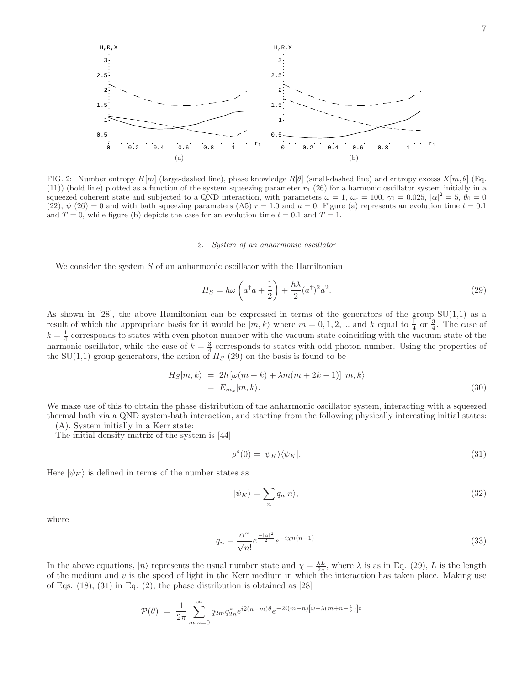

FIG. 2: Number entropy  $H[m]$  (large-dashed line), phase knowledge  $R[\theta]$  (small-dashed line) and entropy excess  $X[m, \theta]$  (Eq. (11)) (bold line) plotted as a function of the system squeezing parameter  $r_1$  (26) for a harmonic oscillator system initially in a squeezed coherent state and subjected to a QND interaction, with parameters  $\omega = 1$ ,  $\omega_c = 100$ ,  $\gamma_0 = 0.025$ ,  $|\alpha|^2 = 5$ ,  $\theta_0 = 0$  $(22), \psi(26) = 0$  and with bath squeezing parameters  $(A5)$   $r = 1.0$  and  $a = 0$ . Figure (a) represents an evolution time  $t = 0.1$ and  $T = 0$ , while figure (b) depicts the case for an evolution time  $t = 0.1$  and  $T = 1$ .

## 2. System of an anharmonic oscillator

We consider the system  $S$  of an anharmonic oscillator with the Hamiltonian

$$
H_S = \hbar\omega \left( a^\dagger a + \frac{1}{2} \right) + \frac{\hbar\lambda}{2} (a^\dagger)^2 a^2.
$$
 (29)

As shown in [28], the above Hamiltonian can be expressed in terms of the generators of the group  $SU(1,1)$  as a result of which the appropriate basis for it would be  $|m, k\rangle$  where  $m = 0, 1, 2, ...$  and k equal to  $\frac{1}{4}$  or  $\frac{3}{4}$ . The case of  $k = \frac{1}{4}$  corresponds to states with even photon number with the vacuum state coinciding with the vacuum state of the harmonic oscillator, while the case of  $k = \frac{3}{4}$  corresponds to states with odd photon number. Using the properties of the  $SU(1,1)$  group generators, the action of  $H_S(29)$  on the basis is found to be

$$
H_S|m, k\rangle = 2\hbar \left[\omega(m+k) + \lambda m(m+2k-1)\right]|m, k\rangle
$$
  
=  $E_{m_k}|m, k\rangle$ . (30)

We make use of this to obtain the phase distribution of the anharmonic oscillator system, interacting with a squeezed thermal bath via a QND system-bath interaction, and starting from the following physically interesting initial states:

(A). System initially in a Kerr state:

The initial density matrix of the system is [44]

$$
\rho^s(0) = |\psi_K\rangle\langle\psi_K|.\tag{31}
$$

Here  $|\psi_K\rangle$  is defined in terms of the number states as

$$
|\psi_K\rangle = \sum_n q_n |n\rangle,\tag{32}
$$

where

$$
q_n = \frac{\alpha^n}{\sqrt{n!}} e^{\frac{-|\alpha|^2}{2}} e^{-i\chi n(n-1)}.
$$
\n(33)

In the above equations,  $|n\rangle$  represents the usual number state and  $\chi = \frac{\lambda L}{2v}$ , where  $\lambda$  is as in Eq. (29), L is the length of the medium and  $v$  is the speed of light in the Kerr medium in which the interaction has taken place. Making use of Eqs. (18), (31) in Eq. (2), the phase distribution is obtained as [28]

$$
\mathcal{P}(\theta) = \frac{1}{2\pi} \sum_{m,n=0}^{\infty} q_{2m} q_{2n}^* e^{i2(n-m)\theta} e^{-2i(m-n)[\omega + \lambda(m+n-\frac{1}{2})]t}
$$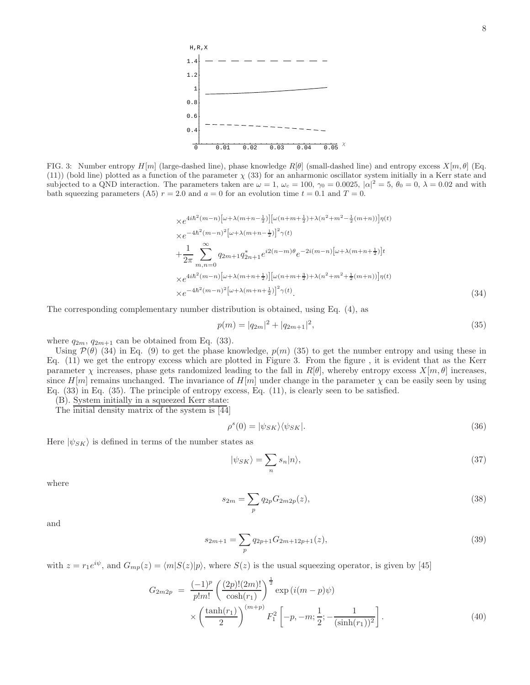

FIG. 3: Number entropy  $H[m]$  (large-dashed line), phase knowledge  $R[\theta]$  (small-dashed line) and entropy excess  $X[m, \theta]$  (Eq.  $(11)$ ) (bold line) plotted as a function of the parameter  $\chi$  (33) for an anharmonic oscillator system initially in a Kerr state and subjected to a QND interaction. The parameters taken are  $\omega = 1$ ,  $\omega_c = 100$ ,  $\gamma_0 = 0.0025$ ,  $|\alpha|^2 = 5$ ,  $\theta_0 = 0$ ,  $\lambda = 0.02$  and with bath squeezing parameters (A5)  $r = 2.0$  and  $a = 0$  for an evolution time  $t = 0.1$  and  $T = 0$ .

$$
\times e^{4i\hbar^{2}(m-n)\left[\omega+\lambda(m+n-\frac{1}{2})\right]}\left[\omega(n+m+\frac{1}{2})+\lambda(n^{2}+m^{2}-\frac{1}{2}(m+n))\right]\eta(t)
$$
\n
$$
\times e^{-4\hbar^{2}(m-n)^{2}\left[\omega+\lambda(m+n-\frac{1}{2})\right]^{2}}\gamma(t)
$$
\n
$$
+\frac{1}{2\pi}\sum_{m,n=0}^{\infty}q_{2m+1}q_{2n+1}^{*}e^{i2(n-m)\theta}e^{-2i(m-n)\left[\omega+\lambda(m+n+\frac{1}{2})\right]t}
$$
\n
$$
\times e^{4i\hbar^{2}(m-n)\left[\omega+\lambda(m+n+\frac{1}{2})\right]}\left[\omega(n+m+\frac{3}{2})+\lambda(n^{2}+m^{2}+\frac{1}{2}(m+n))\right]\eta(t)
$$
\n
$$
\times e^{-4\hbar^{2}(m-n)^{2}\left[\omega+\lambda(m+n+\frac{1}{2})\right]^{2}}\gamma(t).
$$
\n(34)

The corresponding complementary number distribution is obtained, using Eq. (4), as

$$
p(m) = |q_{2m}|^2 + |q_{2m+1}|^2,
$$
\n(35)

where  $q_{2m}, q_{2m+1}$  can be obtained from Eq. (33).

Using  $P(\theta)$  (34) in Eq. (9) to get the phase knowledge,  $p(m)$  (35) to get the number entropy and using these in Eq. (11) we get the entropy excess which are plotted in Figure 3. From the figure , it is evident that as the Kerr parameter  $\chi$  increases, phase gets randomized leading to the fall in  $R[\theta]$ , whereby entropy excess  $X[m, \theta]$  increases, since  $H[m]$  remains unchanged. The invariance of  $H[m]$  under change in the parameter  $\chi$  can be easily seen by using Eq. (33) in Eq. (35). The principle of entropy excess, Eq. (11), is clearly seen to be satisfied.

(B). System initially in a squeezed Kerr state:

The initial density matrix of the system is [44]

$$
\rho^s(0) = |\psi_{SK}\rangle\langle\psi_{SK}|.\tag{36}
$$

Here  $|\psi_{SK}\rangle$  is defined in terms of the number states as

$$
|\psi_{SK}\rangle = \sum_{n} s_n |n\rangle,\tag{37}
$$

where

$$
s_{2m} = \sum_{p} q_{2p} G_{2m2p}(z),
$$
\n(38)

and

$$
s_{2m+1} = \sum_{p} q_{2p+1} G_{2m+12p+1}(z),
$$
\n(39)

with  $z = r_1 e^{i\psi}$ , and  $G_{mp}(z) = \langle m|S(z)|p\rangle$ , where  $S(z)$  is the usual squeezing operator, is given by [45]

$$
G_{2m2p} = \frac{(-1)^p}{p!m!} \left(\frac{(2p)!(2m)!}{\cosh(r_1)}\right)^{\frac{1}{2}} \exp\left(i(m-p)\psi\right) \times \left(\frac{\tanh(r_1)}{2}\right)^{(m+p)} F_1^2 \left[-p, -m; \frac{1}{2}; -\frac{1}{(\sinh(r_1))^2}\right].
$$
\n(40)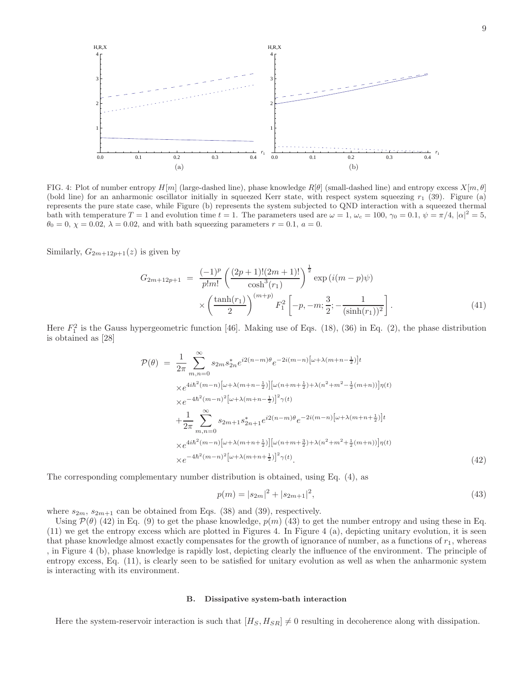

FIG. 4: Plot of number entropy  $H[m]$  (large-dashed line), phase knowledge  $R[\theta]$  (small-dashed line) and entropy excess  $X[m, \theta]$ (bold line) for an anharmonic oscillator initially in squeezed Kerr state, with respect system squeezing  $r_1$  (39). Figure (a) represents the pure state case, while Figure (b) represents the system subjected to QND interaction with a squeezed thermal bath with temperature  $T = 1$  and evolution time  $t = 1$ . The parameters used are  $\omega = 1$ ,  $\omega_c = 100$ ,  $\gamma_0 = 0.1$ ,  $\psi = \pi/4$ ,  $|\alpha|^2 = 5$ ,  $\theta_0 = 0$ ,  $\chi = 0.02$ ,  $\lambda = 0.02$ , and with bath squeezing parameters  $r = 0.1$ ,  $a = 0$ .

Similarly,  $G_{2m+12p+1}(z)$  is given by

$$
G_{2m+12p+1} = \frac{(-1)^p}{p!m!} \left( \frac{(2p+1)!(2m+1)!}{\cosh^3(r_1)} \right)^{\frac{1}{2}} \exp(i(m-p)\psi)
$$

$$
\times \left( \frac{\tanh(r_1)}{2} \right)^{(m+p)} F_1^2 \left[ -p, -m; \frac{3}{2}; -\frac{1}{(\sinh(r_1))^2} \right]. \tag{41}
$$

Here  $F_1^2$  is the Gauss hypergeometric function [46]. Making use of Eqs. (18), (36) in Eq. (2), the phase distribution is obtained as [28]

$$
\mathcal{P}(\theta) = \frac{1}{2\pi} \sum_{m,n=0}^{\infty} s_{2m} s_{2n}^* e^{i2(n-m)\theta} e^{-2i(m-n)\left[\omega + \lambda(m+n-\frac{1}{2})\right]t} \times e^{4i\hbar^2(m-n)\left[\omega + \lambda(m+n-\frac{1}{2})\right] \left[\omega(n+m+\frac{1}{2}) + \lambda(n^2+m^2-\frac{1}{2}(m+n))\right] \eta(t)} \times e^{-4\hbar^2(m-n)^2 \left[\omega + \lambda(m+n-\frac{1}{2})\right]^2 \gamma(t)} \n+ \frac{1}{2\pi} \sum_{m,n=0}^{\infty} s_{2m+1} s_{2n+1}^* e^{i2(n-m)\theta} e^{-2i(m-n)\left[\omega + \lambda(m+n+\frac{1}{2})\right]t} \times e^{4i\hbar^2(m-n)\left[\omega + \lambda(m+n+\frac{1}{2})\right] \left[\omega(n+m+\frac{3}{2}) + \lambda(n^2+m^2+\frac{1}{2}(m+n))\right] \eta(t)} \times e^{-4\hbar^2(m-n)^2 \left[\omega + \lambda(m+n+\frac{1}{2})\right]^2 \gamma(t)}.
$$
\n(42)

The corresponding complementary number distribution is obtained, using Eq. (4), as

$$
p(m) = |s_{2m}|^2 + |s_{2m+1}|^2,\t\t(43)
$$

where  $s_{2m}$ ,  $s_{2m+1}$  can be obtained from Eqs. (38) and (39), respectively.

Using  $\mathcal{P}(\theta)$  (42) in Eq. (9) to get the phase knowledge,  $p(m)$  (43) to get the number entropy and using these in Eq. (11) we get the entropy excess which are plotted in Figures 4. In Figure 4 (a), depicting unitary evolution, it is seen that phase knowledge almost exactly compensates for the growth of ignorance of number, as a functions of  $r_1$ , whereas , in Figure 4 (b), phase knowledge is rapidly lost, depicting clearly the influence of the environment. The principle of entropy excess, Eq. (11), is clearly seen to be satisfied for unitary evolution as well as when the anharmonic system is interacting with its environment.

### B. Dissipative system-bath interaction

Here the system-reservoir interaction is such that  $[H_S, H_{SR}] \neq 0$  resulting in decoherence along with dissipation.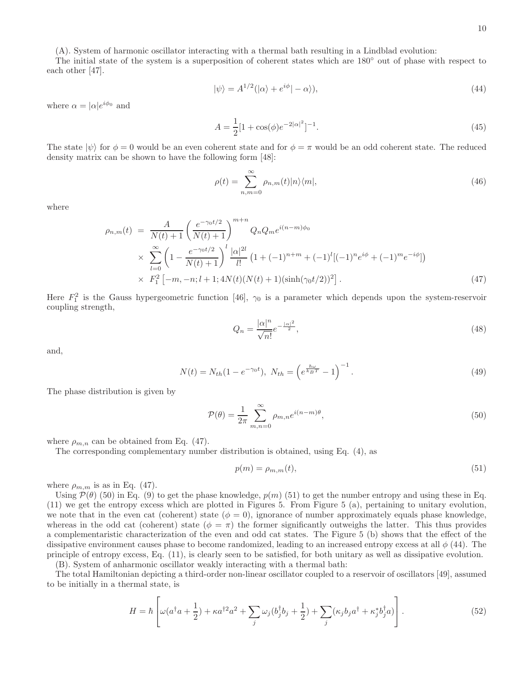(A). System of harmonic oscillator interacting with a thermal bath resulting in a Lindblad evolution:

The initial state of the system is a superposition of coherent states which are 180◦ out of phase with respect to each other [47].

$$
|\psi\rangle = A^{1/2}(|\alpha\rangle + e^{i\phi}| - \alpha\rangle),\tag{44}
$$

where  $\alpha = |\alpha|e^{i\phi_0}$  and

$$
A = \frac{1}{2} [1 + \cos(\phi) e^{-2|\alpha|^2}]^{-1}.
$$
\n(45)

The state  $|\psi\rangle$  for  $\phi = 0$  would be an even coherent state and for  $\phi = \pi$  would be an odd coherent state. The reduced density matrix can be shown to have the following form [48]:

$$
\rho(t) = \sum_{n,m=0}^{\infty} \rho_{n,m}(t) |n\rangle\langle m|,
$$
\n(46)

where

$$
\rho_{n,m}(t) = \frac{A}{N(t) + 1} \left(\frac{e^{-\gamma_0 t/2}}{N(t) + 1}\right)^{m+n} Q_n Q_m e^{i(n-m)\phi_0}
$$
  
 
$$
\times \sum_{l=0}^{\infty} \left(1 - \frac{e^{-\gamma_0 t/2}}{N(t) + 1}\right)^l \frac{|\alpha|^{2l}}{l!} \left(1 + (-1)^{n+m} + (-1)^l [(-1)^n e^{i\phi} + (-1)^m e^{-i\phi}]\right)
$$
  
 
$$
\times F_1^2 \left[-m, -n; l+1; 4N(t)(N(t) + 1)(\sinh(\gamma_0 t/2))^2\right].
$$
 (47)

Here  $F_1^2$  is the Gauss hypergeometric function [46],  $\gamma_0$  is a parameter which depends upon the system-reservoir coupling strength,

$$
Q_n = \frac{|\alpha|^n}{\sqrt{n!}} e^{-\frac{|\alpha|^2}{2}},\tag{48}
$$

and,

$$
N(t) = N_{th}(1 - e^{-\gamma_0 t}), \ N_{th} = \left(e^{\frac{\hbar \omega}{k_B T}} - 1\right)^{-1}.
$$
\n(49)

The phase distribution is given by

$$
\mathcal{P}(\theta) = \frac{1}{2\pi} \sum_{m,n=0}^{\infty} \rho_{m,n} e^{i(n-m)\theta},\tag{50}
$$

where  $\rho_{m,n}$  can be obtained from Eq. (47).

The corresponding complementary number distribution is obtained, using Eq. (4), as

$$
p(m) = \rho_{m,m}(t),\tag{51}
$$

where  $\rho_{m,m}$  is as in Eq. (47).

Using  $\mathcal{P}(\theta)$  (50) in Eq. (9) to get the phase knowledge,  $p(m)$  (51) to get the number entropy and using these in Eq. (11) we get the entropy excess which are plotted in Figures 5. From Figure 5 (a), pertaining to unitary evolution, we note that in the even cat (coherent) state ( $\phi = 0$ ), ignorance of number approximately equals phase knowledge, whereas in the odd cat (coherent) state  $(\phi = \pi)$  the former significantly outweighs the latter. This thus provides a complementaristic characterization of the even and odd cat states. The Figure 5 (b) shows that the effect of the dissipative environment causes phase to become randomized, leading to an increased entropy excess at all  $\phi$  (44). The principle of entropy excess, Eq. (11), is clearly seen to be satisfied, for both unitary as well as dissipative evolution. (B). System of anharmonic oscillator weakly interacting with a thermal bath:

The total Hamiltonian depicting a third-order non-linear oscillator coupled to a reservoir of oscillators [49], assumed to be initially in a thermal state, is

$$
H = \hbar \left[ \omega (a^\dagger a + \frac{1}{2}) + \kappa a^{\dagger 2} a^2 + \sum_j \omega_j (b_j^\dagger b_j + \frac{1}{2}) + \sum_j (\kappa_j b_j a^\dagger + \kappa_j^* b_j^\dagger a) \right]. \tag{52}
$$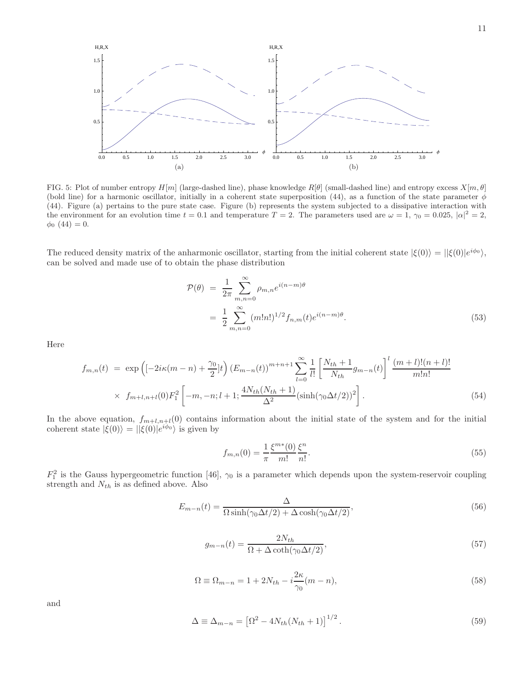

FIG. 5: Plot of number entropy  $H[m]$  (large-dashed line), phase knowledge  $R[\theta]$  (small-dashed line) and entropy excess  $X[m, \theta]$ (bold line) for a harmonic oscillator, initially in a coherent state superposition (44), as a function of the state parameter  $\dot{\phi}$ (44). Figure (a) pertains to the pure state case. Figure (b) represents the system subjected to a dissipative interaction with the environment for an evolution time  $t = 0.1$  and temperature  $T = 2$ . The parameters used are  $\omega = 1$ ,  $\gamma_0 = 0.025$ ,  $|\alpha|^2 = 2$ ,  $\phi_0$  (44) = 0.

The reduced density matrix of the anharmonic oscillator, starting from the initial coherent state  $|\xi(0)\rangle = ||\xi(0)|e^{i\phi_0}\rangle$ , can be solved and made use of to obtain the phase distribution

$$
\mathcal{P}(\theta) = \frac{1}{2\pi} \sum_{m,n=0}^{\infty} \rho_{m,n} e^{i(n-m)\theta} \n= \frac{1}{2} \sum_{m,n=0}^{\infty} (m!n!)^{1/2} f_{n,m}(t) e^{i(n-m)\theta}.
$$
\n(53)

Here

$$
f_{m,n}(t) = \exp\left([-2i\kappa(m-n) + \frac{\gamma_0}{2}]t\right) \left(E_{m-n}(t)\right)^{m+n+1} \sum_{l=0}^{\infty} \frac{1}{l!} \left[\frac{N_{th}+1}{N_{th}} g_{m-n}(t)\right]^l \frac{(m+l)!(n+l)!}{m!n!} \times f_{m+l,n+l}(0) F_1^2 \left[-m,-n;l+1; \frac{4N_{th}(N_{th}+1)}{\Delta^2} (\sinh(\gamma_0 \Delta t/2))^2\right].
$$
\n(54)

In the above equation,  $f_{m+l,n+l}(0)$  contains information about the initial state of the system and for the initial coherent state  $|\xi(0)\rangle = ||\xi(0)|e^{i\phi_0}\rangle$  is given by

$$
f_{m,n}(0) = \frac{1}{\pi} \frac{\xi^{m*}(0)}{m!} \frac{\xi^n}{n!}.
$$
\n(55)

 $F_1^2$  is the Gauss hypergeometric function [46],  $\gamma_0$  is a parameter which depends upon the system-reservoir coupling strength and  $N_{th}$  is as defined above. Also

$$
E_{m-n}(t) = \frac{\Delta}{\Omega \sinh(\gamma_0 \Delta t/2) + \Delta \cosh(\gamma_0 \Delta t/2)},
$$
\n(56)

$$
g_{m-n}(t) = \frac{2N_{th}}{\Omega + \Delta \coth(\gamma_0 \Delta t/2)},\tag{57}
$$

$$
\Omega \equiv \Omega_{m-n} = 1 + 2N_{th} - i\frac{2\kappa}{\gamma_0}(m-n),\tag{58}
$$

and

$$
\Delta \equiv \Delta_{m-n} = \left[\Omega^2 - 4N_{th}(N_{th}+1)\right]^{1/2}.\tag{59}
$$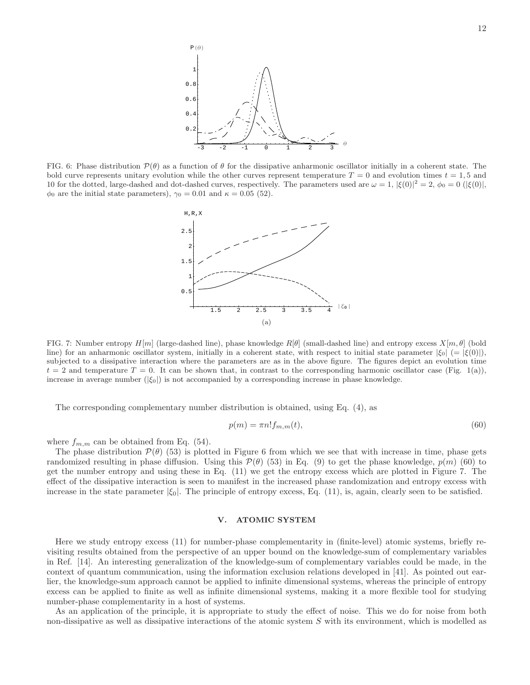

FIG. 6: Phase distribution  $\mathcal{P}(\theta)$  as a function of  $\theta$  for the dissipative anharmonic oscillator initially in a coherent state. The bold curve represents unitary evolution while the other curves represent temperature  $T = 0$  and evolution times  $t = 1, 5$  and 10 for the dotted, large-dashed and dot-dashed curves, respectively. The parameters used are  $\omega = 1$ ,  $|\xi(0)|^2 = 2$ ,  $\phi_0 = 0$  ( $|\xi(0)|$ ,  $\phi_0$  are the initial state parameters),  $\gamma_0 = 0.01$  and  $\kappa = 0.05$  (52).



FIG. 7: Number entropy  $H[m]$  (large-dashed line), phase knowledge  $R[\theta]$  (small-dashed line) and entropy excess  $X[m, \theta]$  (bold line) for an anharmonic oscillator system, initially in a coherent state, with respect to initial state parameter  $|\xi_0| = |\xi(0)|$ , subjected to a dissipative interaction where the parameters are as in the above figure. The figures depict an evolution time  $t = 2$  and temperature  $T = 0$ . It can be shown that, in contrast to the corresponding harmonic oscillator case (Fig. 1(a)), increase in average number  $(|\xi_0|)$  is not accompanied by a corresponding increase in phase knowledge.

The corresponding complementary number distribution is obtained, using Eq. (4), as

$$
p(m) = \pi n! f_{m,m}(t),\tag{60}
$$

where  $f_{m,m}$  can be obtained from Eq. (54).

The phase distribution  $\mathcal{P}(\theta)$  (53) is plotted in Figure 6 from which we see that with increase in time, phase gets randomized resulting in phase diffusion. Using this  $\mathcal{P}(\theta)$  (53) in Eq. (9) to get the phase knowledge,  $p(m)$  (60) to get the number entropy and using these in Eq. (11) we get the entropy excess which are plotted in Figure 7. The effect of the dissipative interaction is seen to manifest in the increased phase randomization and entropy excess with increase in the state parameter  $|\xi_0|$ . The principle of entropy excess, Eq. (11), is, again, clearly seen to be satisfied.

# V. ATOMIC SYSTEM

Here we study entropy excess (11) for number-phase complementarity in (finite-level) atomic systems, briefly revisiting results obtained from the perspective of an upper bound on the knowledge-sum of complementary variables in Ref. [14]. An interesting generalization of the knowledge-sum of complementary variables could be made, in the context of quantum communication, using the information exclusion relations developed in [41]. As pointed out earlier, the knowledge-sum approach cannot be applied to infinite dimensional systems, whereas the principle of entropy excess can be applied to finite as well as infinite dimensional systems, making it a more flexible tool for studying number-phase complementarity in a host of systems.

As an application of the principle, it is appropriate to study the effect of noise. This we do for noise from both non-dissipative as well as dissipative interactions of the atomic system S with its environment, which is modelled as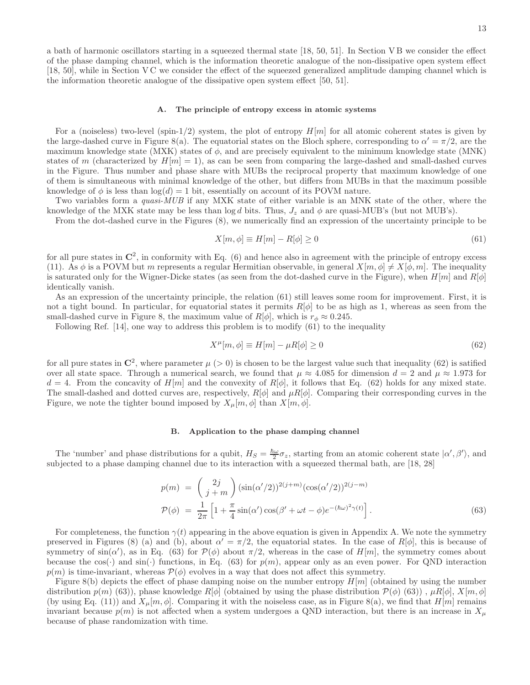a bath of harmonic oscillators starting in a squeezed thermal state [18, 50, 51]. In Section V B we consider the effect of the phase damping channel, which is the information theoretic analogue of the non-dissipative open system effect [18, 50], while in Section V C we consider the effect of the squeezed generalized amplitude damping channel which is the information theoretic analogue of the dissipative open system effect [50, 51].

# A. The principle of entropy excess in atomic systems

For a (noiseless) two-level (spin-1/2) system, the plot of entropy  $H[m]$  for all atomic coherent states is given by the large-dashed curve in Figure 8(a). The equatorial states on the Bloch sphere, corresponding to  $\alpha' = \pi/2$ , are the maximum knowledge state (MXK) states of  $\phi$ , and are precisely equivalent to the minimum knowledge state (MNK) states of m (characterized by  $H[m] = 1$ ), as can be seen from comparing the large-dashed and small-dashed curves in the Figure. Thus number and phase share with MUBs the reciprocal property that maximum knowledge of one of them is simultaneous with minimal knowledge of the other, but differs from MUBs in that the maximum possible knowledge of  $\phi$  is less than  $\log(d) = 1$  bit, essentially on account of its POVM nature.

Two variables form a *quasi-MUB* if any MXK state of either variable is an MNK state of the other, where the knowledge of the MXK state may be less than  $\log d$  bits. Thus,  $J_z$  and  $\phi$  are quasi-MUB's (but not MUB's).

From the dot-dashed curve in the Figures (8), we numerically find an expression of the uncertainty principle to be

$$
X[m,\phi] \equiv H[m] - R[\phi] \ge 0 \tag{61}
$$

for all pure states in  $\mathbb{C}^2$ , in conformity with Eq. (6) and hence also in agreement with the principle of entropy excess (11). As  $\phi$  is a POVM but m represents a regular Hermitian observable, in general  $X[m, \phi] \neq X[\phi, m]$ . The inequality is saturated only for the Wigner-Dicke states (as seen from the dot-dashed curve in the Figure), when  $H[m]$  and  $R[\phi]$ identically vanish.

As an expression of the uncertainty principle, the relation (61) still leaves some room for improvement. First, it is not a tight bound. In particular, for equatorial states it permits  $R[\phi]$  to be as high as 1, whereas as seen from the small-dashed curve in Figure 8, the maximum value of  $R[\phi]$ , which is  $r_{\phi} \approx 0.245$ .

Following Ref. [14], one way to address this problem is to modify (61) to the inequality

$$
X^{\mu}[m,\phi] \equiv H[m] - \mu R[\phi] \ge 0 \tag{62}
$$

for all pure states in  $\mathbb{C}^2$ , where parameter  $\mu$  (> 0) is chosen to be the largest value such that inequality (62) is satified over all state space. Through a numerical search, we found that  $\mu \approx 4.085$  for dimension  $d = 2$  and  $\mu \approx 1.973$  for  $d = 4$ . From the concavity of H[m] and the convexity of R[ $\phi$ ], it follows that Eq. (62) holds for any mixed state. The small-dashed and dotted curves are, respectively,  $R[\phi]$  and  $\mu R[\phi]$ . Comparing their corresponding curves in the Figure, we note the tighter bound imposed by  $X_{\mu}[m,\phi]$  than  $X[m,\phi]$ .

# Application to the phase damping channel

The 'number' and phase distributions for a qubit,  $H_S = \frac{\hbar \omega}{2} \sigma_z$ , starting from an atomic coherent state  $|\alpha', \beta'\rangle$ , and subjected to a phase damping channel due to its interaction with a squeezed thermal bath, are [18, 28]

$$
p(m) = {2j \choose j+m} (\sin(\alpha'/2))^{2(j+m)} (\cos(\alpha'/2))^{2(j-m)}
$$
  
\n
$$
\mathcal{P}(\phi) = \frac{1}{2\pi} \left[ 1 + \frac{\pi}{4} \sin(\alpha') \cos(\beta' + \omega t - \phi) e^{-(\hbar\omega)^2 \gamma(t)} \right].
$$
\n(63)

For completeness, the function  $\gamma(t)$  appearing in the above equation is given in Appendix A. We note the symmetry preserved in Figures (8) (a) and (b), about  $\alpha' = \pi/2$ , the equatorial states. In the case of  $R[\phi]$ , this is because of symmetry of  $sin(\alpha')$ , as in Eq. (63) for  $\mathcal{P}(\phi)$  about  $\pi/2$ , whereas in the case of  $H[m]$ , the symmetry comes about because the cos( $\cdot$ ) and sin( $\cdot$ ) functions, in Eq. (63) for  $p(m)$ , appear only as an even power. For QND interaction  $p(m)$  is time-invariant, whereas  $\mathcal{P}(\phi)$  evolves in a way that does not affect this symmetry.

Figure 8(b) depicts the effect of phase damping noise on the number entropy  $H[m]$  (obtained by using the number distribution  $p(m)$  (63)), phase knowledge  $R[\phi]$  (obtained by using the phase distribution  $\mathcal{P}(\phi)$  (63)),  $\mu R[\phi]$ ,  $X[m,\phi]$ (by using Eq. (11)) and  $X_\mu[m,\phi]$ . Comparing it with the noiseless case, as in Figure 8(a), we find that  $H[m]$  remains invariant because  $p(m)$  is not affected when a system undergoes a QND interaction, but there is an increase in  $X_\mu$ because of phase randomization with time.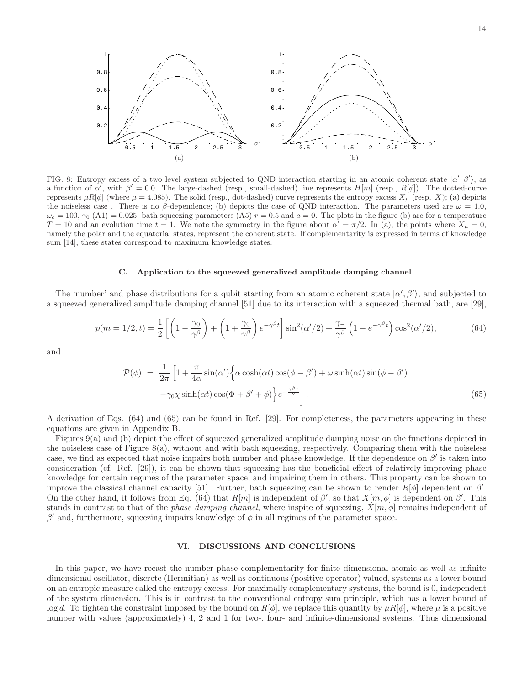

FIG. 8: Entropy excess of a two level system subjected to QND interaction starting in an atomic coherent state  $|\alpha',\beta'\rangle$ , as a function of  $\alpha'$ , with  $\beta' = 0.0$ . The large-dashed (resp., small-dashed) line represents  $H[m]$  (resp.,  $R[\phi]$ ). The dotted-curve represents  $\mu R[\phi]$  (where  $\mu = 4.085$ ). The solid (resp., dot-dashed) curve represents the entropy excess  $X_{\mu}$  (resp. X); (a) depicts the noiseless case. There is no β-dependence; (b) depicts the case of QND interaction. The parameters used are  $\omega = 1.0$ ,  $\omega_c = 100$ ,  $\gamma_0$  (A1) = 0.025, bath squeezing parameters (A5)  $r = 0.5$  and  $a = 0$ . The plots in the figure (b) are for a temperature  $T = 10$  and an evolution time  $t = 1$ . We note the symmetry in the figure about  $\alpha' = \pi/2$ . In (a), the points where  $X_{\mu} = 0$ , namely the polar and the equatorial states, represent the coherent state. If complementarity is expressed in terms of knowledge sum [14], these states correspond to maximum knowledge states.

### C. Application to the squeezed generalized amplitude damping channel

The 'number' and phase distributions for a qubit starting from an atomic coherent state  $|\alpha', \beta'\rangle$ , and subjected to a squeezed generalized amplitude damping channel [51] due to its interaction with a squeezed thermal bath, are [29],

$$
p(m=1/2,t) = \frac{1}{2}\left[\left(1-\frac{\gamma_0}{\gamma^{\beta}}\right) + \left(1+\frac{\gamma_0}{\gamma^{\beta}}\right)e^{-\gamma^{\beta}t}\right]\sin^2(\alpha'/2) + \frac{\gamma_-}{\gamma^{\beta}}\left(1-e^{-\gamma^{\beta}t}\right)\cos^2(\alpha'/2),\tag{64}
$$

and

$$
\mathcal{P}(\phi) = \frac{1}{2\pi} \left[ 1 + \frac{\pi}{4\alpha} \sin(\alpha') \left\{ \alpha \cosh(\alpha t) \cos(\phi - \beta') + \omega \sinh(\alpha t) \sin(\phi - \beta') - \gamma_0 \chi \sinh(\alpha t) \cos(\Phi + \beta' + \phi) \right\} e^{-\frac{\gamma \beta_t}{2}} \right].
$$
\n(65)

A derivation of Eqs. (64) and (65) can be found in Ref. [29]. For completeness, the parameters appearing in these equations are given in Appendix B.

Figures 9(a) and (b) depict the effect of squeezed generalized amplitude damping noise on the functions depicted in the noiseless case of Figure  $8(a)$ , without and with bath squeezing, respectively. Comparing them with the noiseless case, we find as expected that noise impairs both number and phase knowledge. If the dependence on  $\beta'$  is taken into consideration (cf. Ref. [29]), it can be shown that squeezing has the beneficial effect of relatively improving phase knowledge for certain regimes of the parameter space, and impairing them in others. This property can be shown to improve the classical channel capacity [51]. Further, bath squeezing can be shown to render  $R[\phi]$  dependent on  $\beta'$ . On the other hand, it follows from Eq. (64) that  $R[m]$  is independent of  $\beta'$ , so that  $X[m,\phi]$  is dependent on  $\beta'$ . This stands in contrast to that of the phase damping channel, where inspite of squeezing,  $X[m, \phi]$  remains independent of  $β'$  and, furthermore, squeezing impairs knowledge of  $φ$  in all regimes of the parameter space.

# VI. DISCUSSIONS AND CONCLUSIONS

In this paper, we have recast the number-phase complementarity for finite dimensional atomic as well as infinite dimensional oscillator, discrete (Hermitian) as well as continuous (positive operator) valued, systems as a lower bound on an entropic measure called the entropy excess. For maximally complementary systems, the bound is 0, independent of the system dimension. This is in contrast to the conventional entropy sum principle, which has a lower bound of log d. To tighten the constraint imposed by the bound on  $R[\phi]$ , we replace this quantity by  $\mu R[\phi]$ , where  $\mu$  is a positive number with values (approximately) 4, 2 and 1 for two-, four- and infinite-dimensional systems. Thus dimensional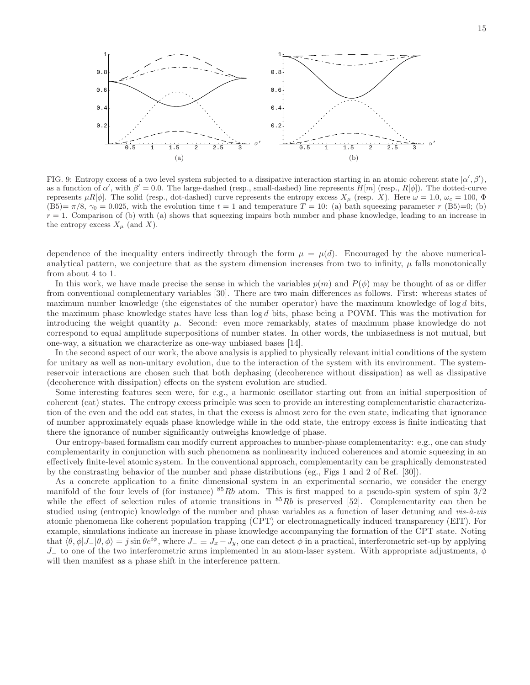

FIG. 9: Entropy excess of a two level system subjected to a dissipative interaction starting in an atomic coherent state  $|\alpha', \beta'\rangle$ , as a function of  $\alpha'$ , with  $\beta' = 0.0$ . The large-dashed (resp., small-dashed) line represents  $H[m]$  (resp.,  $R[\phi]$ ). The dotted-curve represents  $\mu R[\phi]$ . The solid (resp., dot-dashed) curve represents the entropy excess  $X_\mu$  (resp. X). Here  $\omega = 1.0$ ,  $\omega_c = 100$ ,  $\Phi$  $(B5)=\pi/8$ ,  $\gamma_0=0.025$ , with the evolution time  $t=1$  and temperature  $T=10$ : (a) bath squeezing parameter r (B5)=0; (b)  $r = 1$ . Comparison of (b) with (a) shows that squeezing impairs both number and phase knowledge, leading to an increase in the entropy excess  $X_\mu$  (and X).

dependence of the inequality enters indirectly through the form  $\mu = \mu(d)$ . Encouraged by the above numericalanalytical pattern, we conjecture that as the system dimension increases from two to infinity,  $\mu$  falls monotonically from about 4 to 1.

In this work, we have made precise the sense in which the variables  $p(m)$  and  $P(\phi)$  may be thought of as or differ from conventional complementary variables [30]. There are two main differences as follows. First: whereas states of maximum number knowledge (the eigenstates of the number operator) have the maximum knowledge of  $\log d$  bits, the maximum phase knowledge states have less than  $\log d$  bits, phase being a POVM. This was the motivation for introducing the weight quantity  $\mu$ . Second: even more remarkably, states of maximum phase knowledge do not correspond to equal amplitude superpositions of number states. In other words, the unbiasedness is not mutual, but one-way, a situation we characterize as one-way unbiased bases [14].

In the second aspect of our work, the above analysis is applied to physically relevant initial conditions of the system for unitary as well as non-unitary evolution, due to the interaction of the system with its environment. The systemreservoir interactions are chosen such that both dephasing (decoherence without dissipation) as well as dissipative (decoherence with dissipation) effects on the system evolution are studied.

Some interesting features seen were, for e.g., a harmonic oscillator starting out from an initial superposition of coherent (cat) states. The entropy excess principle was seen to provide an interesting complementaristic characterization of the even and the odd cat states, in that the excess is almost zero for the even state, indicating that ignorance of number approximately equals phase knowledge while in the odd state, the entropy excess is finite indicating that there the ignorance of number significantly outweighs knowledge of phase.

Our entropy-based formalism can modify current approaches to number-phase complementarity: e.g., one can study complementarity in conjunction with such phenomena as nonlinearity induced coherences and atomic squeezing in an effectively finite-level atomic system. In the conventional approach, complementarity can be graphically demonstrated by the constrasting behavior of the number and phase distributions (eg., Figs 1 and 2 of Ref. [30]).

As a concrete application to a finite dimensional system in an experimental scenario, we consider the energy manifold of the four levels of (for instance)  ${}^{85}Rb$  atom. This is first mapped to a pseudo-spin system of spin  $3/2$ while the effect of selection rules of atomic transitions in  $85Rb$  is preserved [52]. Complementarity can then be studied using (entropic) knowledge of the number and phase variables as a function of laser detuning and  $vis-\hat{a}-vis$ atomic phenomena like coherent population trapping (CPT) or electromagnetically induced transparency (EIT). For example, simulations indicate an increase in phase knowledge accompanying the formation of the CPT state. Noting that  $\langle \theta, \phi | J_- | \theta, \phi \rangle = j \sin \theta e^{i\phi}$ , where  $J_- \equiv J_x - J_y$ , one can detect  $\phi$  in a practical, interferometric set-up by applying J<sub>−</sub> to one of the two interferometric arms implemented in an atom-laser system. With appropriate adjustments,  $\phi$ will then manifest as a phase shift in the interference pattern.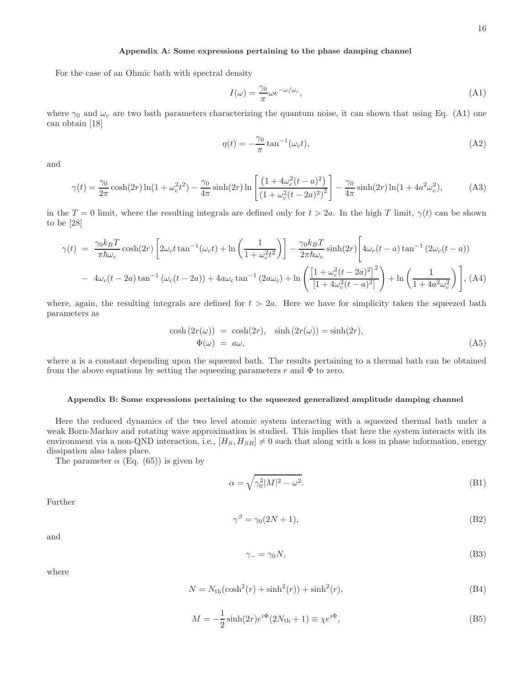# Appendix A: Some expressions pertaining to the phase damping channel

For the case of an Ohmic bath with spectral density

$$
I(\omega) = \frac{\gamma_0}{\pi} \omega e^{-\omega/\omega_c},\tag{A1}
$$

where  $\gamma_0$  and  $\omega_c$  are two bath parameters characterizing the quantum noise, it can shown that using Eq. (A1) one can obtain [18]

$$
\eta(t) = -\frac{\gamma_0}{\pi} \tan^{-1}(\omega_c t),\tag{A2}
$$

and

$$
\gamma(t) = \frac{\gamma_0}{2\pi} \cosh(2r) \ln(1 + \omega_c^2 t^2) - \frac{\gamma_0}{4\pi} \sinh(2r) \ln\left[\frac{\left(1 + 4\omega_c^2 (t - a)^2\right)}{\left(1 + \omega_c^2 (t - 2a)^2\right)^2}\right] - \frac{\gamma_0}{4\pi} \sinh(2r) \ln(1 + 4a^2 \omega_c^2),\tag{A3}
$$

in the  $T = 0$  limit, where the resulting integrals are defined only for  $t > 2a$ . In the high T limit,  $\gamma(t)$  can be shown to be [28]

$$
\gamma(t) = \frac{\gamma_0 k_B T}{\pi \hbar \omega_c} \cosh(2r) \left[ 2\omega_c t \tan^{-1}(\omega_c t) + \ln\left(\frac{1}{1 + \omega_c^2 t^2}\right) \right] - \frac{\gamma_0 k_B T}{2\pi \hbar \omega_c} \sinh(2r) \left[ 4\omega_c (t - a) \tan^{-1} (2\omega_c (t - a)) \right]
$$

$$
- 4\omega_c (t - 2a) \tan^{-1} (\omega_c (t - 2a)) + 4\omega_c \tan^{-1} (2a\omega_c) + \ln\left(\frac{\left[1 + \omega_c^2 (t - 2a)^2\right]^2}{\left[1 + 4\omega_c^2 (t - a)^2\right]} \right) + \ln\left(\frac{1}{1 + 4a^2 \omega_c^2}\right) \right], \text{(A4)}
$$

where, again, the resulting integrals are defined for  $t > 2a$ . Here we have for simplicity taken the squeezed bath parameters as

$$
\cosh(2r(\omega)) = \cosh(2r), \quad \sinh(2r(\omega)) = \sinh(2r), \n\Phi(\omega) = a\omega,
$$
\n(A5)

where  $a$  is a constant depending upon the squeezed bath. The results pertaining to a thermal bath can be obtained from the above equations by setting the squeezing parameters  $r$  and  $\Phi$  to zero.

# Appendix B: Some expressions pertaining to the squeezed generalized amplitude damping channel

Here the reduced dynamics of the two level atomic system interacting with a squeezed thermal bath under a weak Born-Markov and rotating wave approximation is studied. This implies that here the system interacts with its environment via a non-QND interaction, i.e.,  $[H_S, H_{SR}] \neq 0$  such that along with a loss in phase information, energy dissipation also takes place.

The parameter  $\alpha$  (Eq. (65)) is given by

$$
\alpha = \sqrt{\gamma_0^2 |M|^2 - \omega^2}.\tag{B1}
$$

Further

$$
\gamma^{\beta} = \gamma_0 (2N + 1),\tag{B2}
$$

and

$$
\gamma_- = \gamma_0 N,\tag{B3}
$$

where

$$
N = Nth(\cosh2(r) + \sinh2(r)) + \sinh2(r),
$$
\n(B4)

$$
M = -\frac{1}{2}\sinh(2r)e^{i\Phi}(2N_{\text{th}} + 1) \equiv \chi e^{i\Phi},\tag{B5}
$$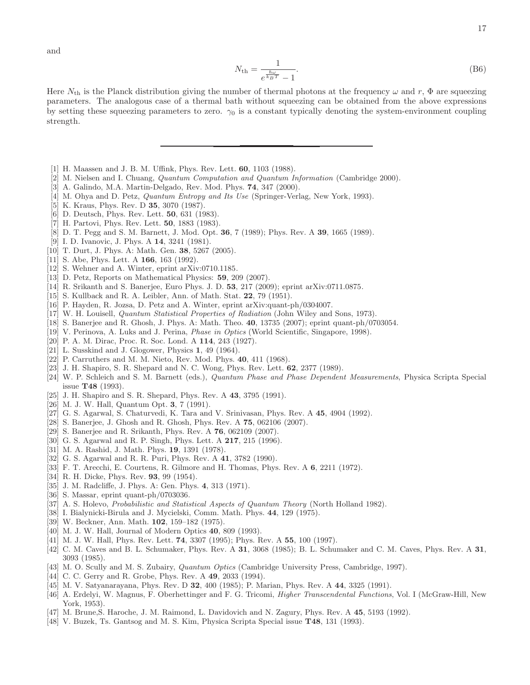and

$$
N_{\rm th} = \frac{1}{e^{\frac{\hbar \omega}{k_B T}} - 1}.
$$
\n(B6)

Here  $N_{\text{th}}$  is the Planck distribution giving the number of thermal photons at the frequency  $\omega$  and  $r$ ,  $\Phi$  are squeezing parameters. The analogous case of a thermal bath without squeezing can be obtained from the above expressions by setting these squeezing parameters to zero.  $\gamma_0$  is a constant typically denoting the system-environment coupling strength.

- [1] H. Maassen and J. B. M. Uffink, Phys. Rev. Lett. 60, 1103 (1988).
- [2] M. Nielsen and I. Chuang, Quantum Computation and Quantum Information (Cambridge 2000).
- [3] A. Galindo, M.A. Martin-Delgado, Rev. Mod. Phys. 74, 347 (2000).
- [4] M. Ohya and D. Petz, *Quantum Entropy and Its Use* (Springer-Verlag, New York, 1993).
- [5] K. Kraus, Phys. Rev. D 35, 3070 (1987).
- [6] D. Deutsch, Phys. Rev. Lett. 50, 631 (1983).
- [7] H. Partovi, Phys. Rev. Lett. 50, 1883 (1983).
- [8] D. T. Pegg and S. M. Barnett, J. Mod. Opt. 36, 7 (1989); Phys. Rev. A 39, 1665 (1989).
- [9] I. D. Ivanovic, J. Phys. A 14, 3241 (1981).
- [10] T. Durt, J. Phys. A: Math. Gen. 38, 5267 (2005).
- [11] S. Abe, Phys. Lett. A 166, 163 (1992).
- [12] S. Wehner and A. Winter, eprint arXiv:0710.1185.
- [13] D. Petz, Reports on Mathematical Physics: 59, 209 (2007).
- [14] R. Srikanth and S. Banerjee, Euro Phys. J. D. 53, 217 (2009); eprint arXiv:0711.0875.
- [15] S. Kullback and R. A. Leibler, Ann. of Math. Stat. **22**, 79 (1951).
- [16] P. Hayden, R. Jozsa, D. Petz and A. Winter, eprint arXiv:quant-ph/0304007.
- [17] W. H. Louisell, Quantum Statistical Properties of Radiation (John Wiley and Sons, 1973).
- [18] S. Banerjee and R. Ghosh, J. Phys. A: Math. Theo. 40, 13735 (2007); eprint quant-ph/0703054.
- [19] V. Perinova, A. Luks and J. Perina, Phase in Optics (World Scientific, Singapore, 1998).
- [20] P. A. M. Dirac, Proc. R. Soc. Lond. A 114, 243 (1927).
- [21] L. Susskind and J. Glogower, Physics 1, 49 (1964).
- [22] P. Carruthers and M. M. Nieto, Rev. Mod. Phys. 40, 411 (1968).
- [23] J. H. Shapiro, S. R. Shepard and N. C. Wong, Phys. Rev. Lett. 62, 2377 (1989).
- [24] W. P. Schleich and S. M. Barnett (eds.), Quantum Phase and Phase Dependent Measurements, Physica Scripta Special issue T48 (1993).
- [25] J. H. Shapiro and S. R. Shepard, Phys. Rev. A 43, 3795 (1991).
- [26] M. J. W. Hall, Quantum Opt. 3, 7 (1991).
- [27] G. S. Agarwal, S. Chaturvedi, K. Tara and V. Srinivasan, Phys. Rev. A 45, 4904 (1992).
- [28] S. Banerjee, J. Ghosh and R. Ghosh, Phys. Rev. A 75, 062106 (2007).
- [29] S. Banerjee and R. Srikanth, Phys. Rev. A **76**, 062109 (2007).
- [30] G. S. Agarwal and R. P. Singh, Phys. Lett. A 217, 215 (1996).
- [31] M. A. Rashid, J. Math. Phys. 19, 1391 (1978).
- [32] G. S. Agarwal and R. R. Puri, Phys. Rev. A 41, 3782 (1990).
- [33] F. T. Arecchi, E. Courtens, R. Gilmore and H. Thomas, Phys. Rev. A 6, 2211 (1972).
- [34] R. H. Dicke, Phys. Rev. **93**, 99 (1954).
- [35] J. M. Radcliffe, J. Phys. A: Gen. Phys. 4, 313 (1971).
- [36] S. Massar, eprint quant-ph/0703036.
- [37] A. S. Holevo, Probabilistic and Statistical Aspects of Quantum Theory (North Holland 1982).
- [38] I. Bialynicki-Birula and J. Mycielski, Comm. Math. Phys. 44, 129 (1975).
- [39] W. Beckner, Ann. Math. 102, 159–182 (1975).
- [40] M. J. W. Hall, Journal of Modern Optics 40, 809 (1993).
- [41] M. J. W. Hall, Phys. Rev. Lett. 74, 3307 (1995); Phys. Rev. A 55, 100 (1997).
- [42] C. M. Caves and B. L. Schumaker, Phys. Rev. A 31, 3068 (1985); B. L. Schumaker and C. M. Caves, Phys. Rev. A 31, 3093 (1985).
- [43] M. O. Scully and M. S. Zubairy, *Quantum Optics* (Cambridge University Press, Cambridge, 1997).
- [44] C. C. Gerry and R. Grobe, Phys. Rev. A 49, 2033 (1994).
- [45] M. V. Satyanarayana, Phys. Rev. D 32, 400 (1985); P. Marian, Phys. Rev. A 44, 3325 (1991).
- [46] A. Erdelyi, W. Magnus, F. Oberhettinger and F. G. Tricomi, *Higher Transcendental Functions*, Vol. I (McGraw-Hill, New York, 1953).
- [47] M. Brune, S. Haroche, J. M. Raimond, L. Davidovich and N. Zagury, Phys. Rev. A 45, 5193 (1992).
- [48] V. Buzek, Ts. Gantsog and M. S. Kim, Physica Scripta Special issue T48, 131 (1993).